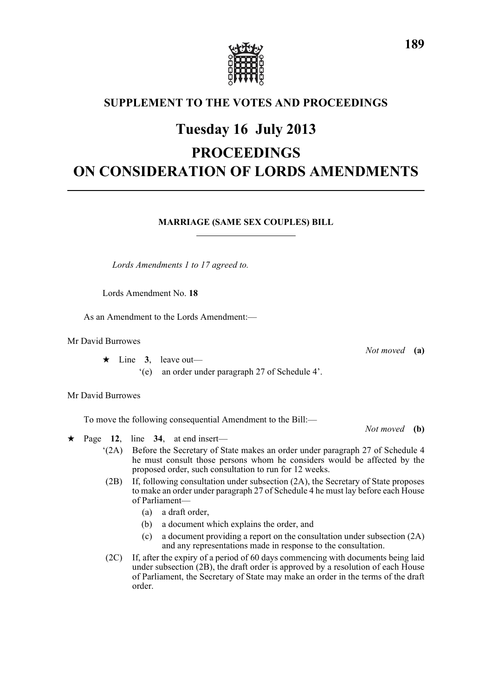

### **SUPPLEMENT TO THE VOTES AND PROCEEDINGS**

## **Tuesday 16 July 2013**

# **PROCEEDINGS ON CONSIDERATION OF LORDS AMENDMENTS**

#### **MARRIAGE (SAME SEX COUPLES) BILL**

*Lords Amendments 1 to 17 agreed to.*

Lords Amendment No. **18**

As an Amendment to the Lords Amendment:—

Mr David Burrowes

 $\star$  Line 3, leave out—

'(e) an order under paragraph 27 of Schedule 4'.

Mr David Burrowes

To move the following consequential Amendment to the Bill:—

*Not moved* **(b)**

*Not moved* **(a)**

- $\star$  Page 12, line 34, at end insert—
	- '(2A) Before the Secretary of State makes an order under paragraph 27 of Schedule 4 he must consult those persons whom he considers would be affected by the proposed order, such consultation to run for 12 weeks.
	- (2B) If, following consultation under subsection (2A), the Secretary of State proposes to make an order under paragraph 27 of Schedule 4 he must lay before each House of Parliament—
		- (a) a draft order,
		- (b) a document which explains the order, and
		- (c) a document providing a report on the consultation under subsection (2A) and any representations made in response to the consultation.
	- (2C) If, after the expiry of a period of 60 days commencing with documents being laid under subsection (2B), the draft order is approved by a resolution of each House of Parliament, the Secretary of State may make an order in the terms of the draft order.